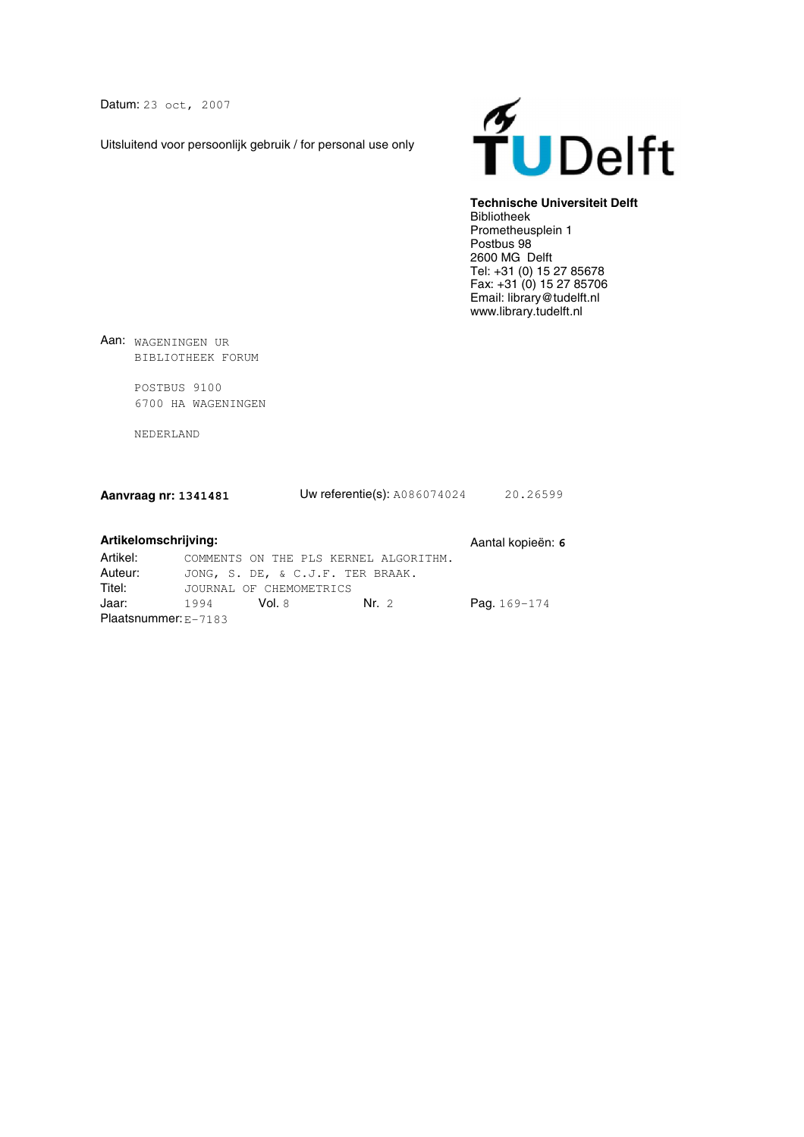Datum: 23 oct, 2007

Uitsluitend voor persoonlijk gebruik / for personal use only



# **Technische Universiteit Delft**

Bibliotheek Prometheusplein 1 Postbus 98 2600 MG Delft Tel: +31 (0) 15 27 85678 Fax: +31 (0) 15 27 85706 Email: library@tudelft.nl www.library.tudelft.nl

Aan: WAGENINGEN UR BIBLIOTHEEK FORUM

> POSTBUS 9100 6700 HA WAGENINGEN

NEDERLAND

| Aanvraag nr: 1341481 | <b>Uw referentie(s): A086074024</b> | 20.26599 |
|----------------------|-------------------------------------|----------|
|                      |                                     |          |

# Artikelomschrijving: **Artikelomschrijving:** Aantal kopieën: 6

| Artikel:               | COMMENTS ON THE PLS KERNEL ALGORITHM. |                  |
|------------------------|---------------------------------------|------------------|
| Auteur:                | JONG, S. DE, & C.J.F. TER BRAAK.      |                  |
| Titel:                 | JOURNAL OF CHEMOMETRICS               |                  |
| Jaar:                  | Nr.2<br>- Vol. 8<br>1994              | Pag. $169 - 174$ |
| Plaatsnummer: $E-7183$ |                                       |                  |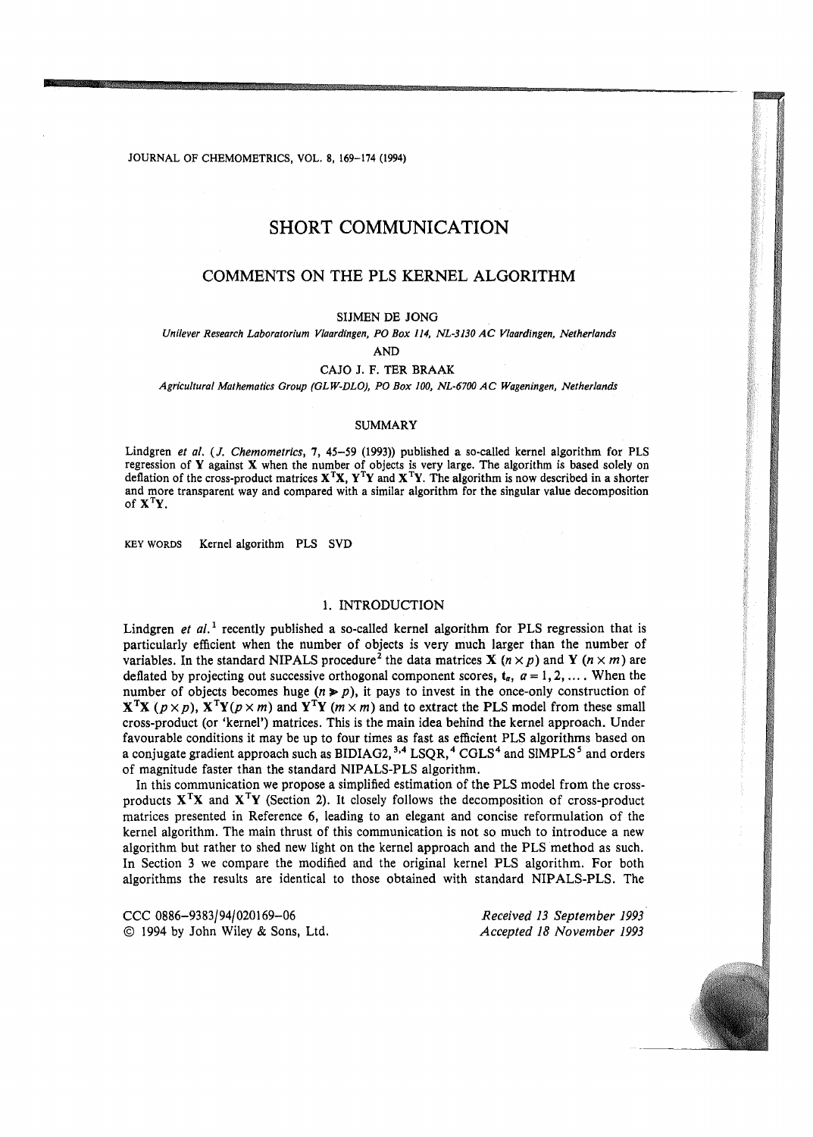JOURNAL OF CHEMOMETRICS, VOL. 8, 169-174 (1994)

# SHORT COMMUNICATION

# COMMENTS ON THE PLS KERNEL ALGORITHM

#### SIJMEN DE JONG

*Unilever Research Laboratorium Vlaardingen, PO Box 114, NL-3130 AC Vlaardingen, Netherlands* 

AND

## CAJO J. F. TER BRAAK

*Agricultural Mathematics Group (GLW-DLO), PO Box 100, NL-6700 AC Wageningen, Netherlands* 

## SUMMARY

Lindgren *et al.* (J. *Chemometrics,* 7, 45-59 (1993)) published a so-called kernel algorithm for PLS regression of Y against X when the number of objects is very large. The algorithm is based solely on deflation of the cross-product matrices  $X^TX$ ,  $Y^TY$  and  $X^TY$ . The algorithm is now described in a shorter and more transparent way and compared with a similar algorithm for the singular value decomposition of  $X<sup>T</sup>Y$ .

KEY WORDS Kernel algorithm PLS SVD

## 1. INTRODUCTION

Lindgren *et al.*<sup>1</sup> recently published a so-called kernel algorithm for PLS regression that is particularly efficient when the number of objects is very much larger than the number of variables. In the standard NIPALS procedure<sup>2</sup> the data matrices **X** ( $n \times p$ ) and **Y** ( $n \times m$ ) are deflated by projecting out successive orthogonal component scores,  $t_a$ ,  $a = 1, 2, ...$  When the number of objects becomes huge  $(n \geq p)$ , it pays to invest in the once-only construction of  $X<sup>T</sup>X$  ( $p \times p$ ),  $X<sup>T</sup>Y(p \times m)$  and  $Y<sup>T</sup>Y(m \times m)$  and to extract the PLS model from these small cross-product (or 'kernel') matrices. This is the main idea behind the kernel approach. Under favourable conditions it may be up to four times as fast as efficient PLS algorithms based on a conjugate gradient approach such as  $\rm BIDIAG2, ^{3,4}$  LSQR,  $^4$  CGLS $^4$  and SIMPLS $^5$  and orders of magnitude faster than the standard NIPALS-PLS algorithm.

In this communication we propose a simplified estimation of the PLS model from the crossproducts  $X^TX$  and  $X^TY$  (Section 2). It closely follows the decomposition of cross-product matrices presented in Reference 6, leading to an elegant and concise reformulation of the kernel algorithm. The main thrust of this communication is not so much to introduce a new algorithm but rather to shed new light on the kernel approach and the PLS method as such. In Section 3 we compare the modified and the original kernel PLS algorithm. For both algorithms the results are identical to those obtained with standard NIPALS-PLS. The

CCC 0886-93 83/94/020169-06 © 1994 by John Wiley & Sons, Ltd.

*Received 13 September 1993 Accepted 18 November 1993*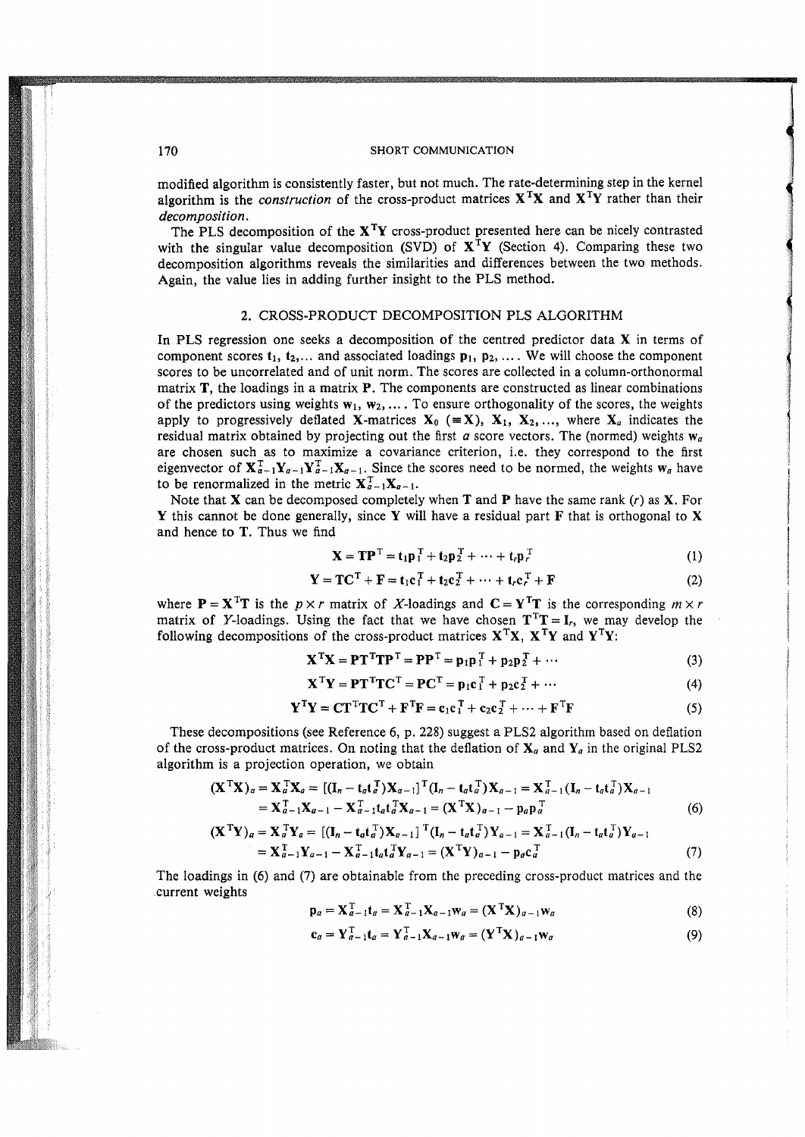modified algorithm is consistently faster, but not much. The rate-determining step in the kernel algorithm is the *construction* of the cross-product matrices  $X^TX$  and  $X^TY$  rather than their *decomposition.* 

The PLS decomposition of the  $X<sup>T</sup>Y$  cross-product presented here can be nicely contrasted with the singular value decomposition (SVD) of  $X<sup>T</sup>Y$  (Section 4). Comparing these two decomposition algorithms reveals the similarities and differences between the two methods. Again, the value lies in adding further insight to the PLS method.

## 2. CROSS-PRODUCT DECOMPOSITION PLS ALGORITHM

In PLS regression one seeks a decomposition of the centred predictor data X in terms of component scores  $t_1, t_2,...$  and associated loadings  $p_1, p_2,...$  We will choose the component scores to be uncorrelated and of unit norm. The scores are collected in a column-orthonormal matrix **, the loadings in a matrix**  $**P**$ **. The components are constructed as linear combinations** of the predictors using weights  $w_1, w_2, \ldots$ . To ensure orthogonality of the scores, the weights apply to progressively deflated **X**-matrices  $X_0$  ( $\equiv X$ ),  $X_1, X_2, \ldots$ , where  $X_a$  indicates the residual matrix obtained by projecting out the first  $a$  score vectors. The (normed) weights  $w_a$ are chosen such as to maximize a covariance criterion, i.e. they correspond to the first eigenvector of  $X_{\alpha-1}^T Y_{\alpha-1} Y_{\alpha-1}^T X_{\alpha-1}$ . Since the scores need to be normed, the weights  $w_\alpha$  have to be renormalized in the metric  $X_{a-1}^T X_{a-1}$ .

Note that **X** can be decomposed completely when **T** and **P** have the same rank  $(r)$  as **X**. For Y this cannot be done generally, since Y will have a residual part F that is orthogonal to X and hence to T. Thus we find

$$
\mathbf{X} = \mathbf{T}\mathbf{P}^{\mathrm{T}} = \mathbf{t}_1 \mathbf{p}_1^{\mathrm{T}} + \mathbf{t}_2 \mathbf{p}_2^{\mathrm{T}} + \dots + \mathbf{t}_r \mathbf{p}_r^{\mathrm{T}} \tag{1}
$$

$$
\mathbf{Y} = \mathbf{TC}^{\mathrm{T}} + \mathbf{F} = \mathbf{t}_1 \mathbf{c}_1^{\mathrm{T}} + \mathbf{t}_2 \mathbf{c}_2^{\mathrm{T}} + \dots + \mathbf{t}_r \mathbf{c}_r^{\mathrm{T}} + \mathbf{F}
$$
(2)

where  $P = X^{T}T$  is the  $p \times r$  matrix of X-loadings and  $C = Y^{T}T$  is the corresponding  $m \times r$ matrix of Y-loadings. Using the fact that we have chosen  $T^{T}T = I_{r}$ , we may develop the following decompositions of the cross-product matrices  $X^TX$ ,  $X^TY$  and  $Y^TY$ :

$$
\mathbf{X}^{\mathrm{T}}\mathbf{X} = \mathbf{P}\mathbf{T}^{\mathrm{T}}\mathbf{T}\mathbf{P}^{\mathrm{T}} = \mathbf{P}\mathbf{P}^{\mathrm{T}} = \mathbf{p}_1\mathbf{p}_1^{\mathrm{T}} + \mathbf{p}_2\mathbf{p}_2^{\mathrm{T}} + \cdots
$$
 (3)

$$
\mathbf{X}^{\mathrm{T}}\mathbf{Y} = \mathbf{P}\mathbf{T}^{\mathrm{T}}\mathbf{T}\mathbf{C}^{\mathrm{T}} = \mathbf{P}\mathbf{C}^{\mathrm{T}} = \mathbf{p}_1\mathbf{c}_1^{\mathrm{T}} + \mathbf{p}_2\mathbf{c}_2^{\mathrm{T}} + \cdots
$$
 (4)

$$
\mathbf{Y}^{\mathrm{T}}\mathbf{Y} = \mathbf{C}\mathbf{T}^{\mathrm{T}}\mathbf{T}\mathbf{C}^{\mathrm{T}} + \mathbf{F}^{\mathrm{T}}\mathbf{F} = \mathbf{c}_1\mathbf{c}_1^{\mathrm{T}} + \mathbf{c}_2\mathbf{c}_2^{\mathrm{T}} + \dots + \mathbf{F}^{\mathrm{T}}\mathbf{F}
$$
 (5)

These decompositions (see Reference 6, p. 228) suggest a PLS2 algorithm based on deflation of the cross-product matrices. On noting that the deflation of  $X_a$  and  $Y_a$  in the original PLS2 algorithm is a projection operation, we obtain

$$
(\mathbf{X}^{\mathrm{T}}\mathbf{X})_a = \mathbf{X}_a^{\mathrm{T}}\mathbf{X}_a = [(\mathbf{I}_n - \mathbf{t}_a\mathbf{t}_a^{\mathrm{T}})\mathbf{X}_{a-1}]^{\mathrm{T}}(\mathbf{I}_n - \mathbf{t}_a\mathbf{t}_a^{\mathrm{T}})\mathbf{X}_{a-1} = \mathbf{X}_{a-1}^{\mathrm{T}}(\mathbf{I}_n - \mathbf{t}_a\mathbf{t}_a^{\mathrm{T}})\mathbf{X}_{a-1}
$$
  
=  $\mathbf{X}_{a-1}^{\mathrm{T}}\mathbf{X}_{a-1} - \mathbf{X}_{a-1}^{\mathrm{T}}\mathbf{t}_a\mathbf{t}_a^{\mathrm{T}}\mathbf{X}_{a-1} = (\mathbf{X}^{\mathrm{T}}\mathbf{X})_{a-1} - \mathbf{p}_a\mathbf{p}_a^{\mathrm{T}}$  (6)

$$
(\mathbf{X}^{\mathrm{T}}\mathbf{Y})_a = \mathbf{X}_a^{\mathrm{T}}\mathbf{Y}_a = [(\mathbf{I}_n - \mathbf{t}_a \mathbf{t}_a^{\mathrm{T}}) \mathbf{X}_{a-1}]^{\mathrm{T}} (\mathbf{I}_n - \mathbf{t}_a \mathbf{t}_a^{\mathrm{T}}) \mathbf{Y}_{a-1} = \mathbf{X}_{a-1}^{\mathrm{T}} (\mathbf{I}_n - \mathbf{t}_a \mathbf{t}_a^{\mathrm{T}}) \mathbf{Y}_{a-1} = \mathbf{X}_{a-1}^{\mathrm{T}} \mathbf{Y}_{a-1} - \mathbf{X}_{a-1}^{\mathrm{T}} \mathbf{t}_a \mathbf{t}_a^{\mathrm{T}} \mathbf{Y}_{a-1} = (\mathbf{X}^{\mathrm{T}}\mathbf{Y})_{a-1} - \mathbf{p}_a \mathbf{c}_a^{\mathrm{T}} \tag{7}
$$

The loadings in (6) and (7) are obtainable from the preceding cross-product matrices and the current weights

$$
\mathbf{p}_a = \mathbf{X}_{a-1}^{\mathrm{T}} \mathbf{t}_a = \mathbf{X}_{a-1}^{\mathrm{T}} \mathbf{X}_{a-1} \mathbf{w}_a = (\mathbf{X}^{\mathrm{T}} \mathbf{X})_{a-1} \mathbf{w}_a \tag{8}
$$

$$
\mathbf{c}_a = \mathbf{Y}_{a-1}^{\mathrm{T}} \mathbf{t}_a = \mathbf{Y}_{a-1}^{\mathrm{T}} \mathbf{X}_{a-1} \mathbf{w}_a = (\mathbf{Y}^{\mathrm{T}} \mathbf{X})_{a-1} \mathbf{w}_a \tag{9}
$$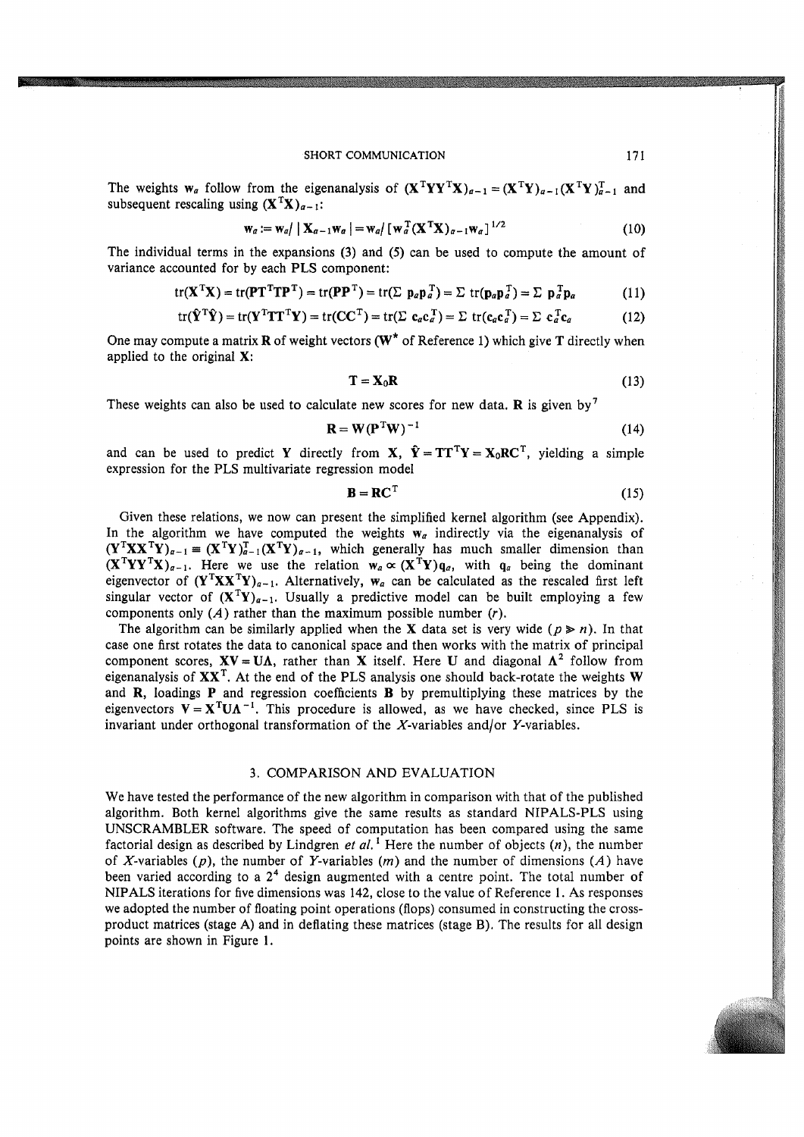The weights  $w_a$  follow from the eigenanalysis of  $(X^TYY^TX)_{a-1} = (X^TY)_{a-1} (X^TY)_{a-1}^T$  and subsequent rescaling using  $(X^TX)_{a-1}$ :

$$
\mathbf{w}_a := \mathbf{w}_a / \mid \mathbf{X}_{a-1} \mathbf{w}_a \mid = \mathbf{w}_a / \left[ \mathbf{w}_a^{\mathrm{T}} (\mathbf{X}^{\mathrm{T}} \mathbf{X})_{a-1} \mathbf{w}_a \right]^{1/2}
$$
(10)

The individual terms in the expansions (3) and (5) can be used to compute the amount of variance accounted for by each PLS component:

$$
tr(\mathbf{X}^{\mathrm{T}}\mathbf{X}) = tr(\mathbf{P}\mathbf{T}^{\mathrm{T}}\mathbf{T}\mathbf{P}^{\mathrm{T}}) = tr(\mathbf{P}\mathbf{P}^{\mathrm{T}}) = tr(\Sigma \ \mathbf{p}_a \mathbf{p}_a^{\mathrm{T}}) = \Sigma \ tr(\mathbf{p}_a \mathbf{p}_a^{\mathrm{T}}) = \Sigma \ \mathbf{p}_a^{\mathrm{T}} \mathbf{p}_a \tag{11}
$$

$$
\operatorname{tr}(\hat{\mathbf{Y}}^{\mathrm{T}}\hat{\mathbf{Y}}) = \operatorname{tr}(\mathbf{Y}^{\mathrm{T}}\mathbf{T}\mathbf{T}^{\mathrm{T}}\mathbf{Y}) = \operatorname{tr}(\mathbf{C}\mathbf{C}^{\mathrm{T}}) = \operatorname{tr}(\Sigma \ \mathbf{c}_a \mathbf{c}_a^{\mathrm{T}}) = \Sigma \ \operatorname{tr}(\mathbf{c}_a \mathbf{c}_a^{\mathrm{T}}) = \Sigma \ \mathbf{c}_a^{\mathrm{T}} \mathbf{c}_a \tag{12}
$$

One may compute a matrix **R** of weight vectors ( $W^*$  of Reference 1) which give **T** directly when applied to the original X:

$$
\mathbf{T} = \mathbf{X}_0 \mathbf{R} \tag{13}
$$

These weights can also be used to calculate new scores for new data. R is given by<sup>7</sup>

$$
\mathbf{R} = \mathbf{W} (\mathbf{P}^{\mathrm{T}} \mathbf{W})^{-1}
$$
 (14)

and can be used to predict Y directly from X,  $\hat{Y} = TT^{T}Y = X_0RC^{T}$ , yielding a simple expression for the PLS multivariate regression model

$$
\mathbf{B} = \mathbf{R}\mathbf{C}^{\mathrm{T}} \tag{15}
$$

Given these relations, we now can present the simplified kernel algorithm (see Appendix). In the algorithm we have computed the weights  $w_a$  indirectly via the eigenanalysis of  $(\mathbf{Y}^T \mathbf{X} \mathbf{X}^T \mathbf{Y})_{a-1} = (\mathbf{X}^T \mathbf{Y})_{a-1}^T (\mathbf{X}^T \mathbf{Y})_{a-1}$ , which generally has much smaller dimension than  $(X^TYY^TX)_{a-1}$ . Here we use the relation  $w_a \propto (X^TY)q_a$ , with  $q_a$  being the dominant eigenvector of  $(Y^T X X^T Y)_{a-1}$ . Alternatively,  $W_a$  can be calculated as the rescaled first left singular vector of  $(X^TY)_{a-1}$ . Usually a predictive model can be built employing a few components only  $(A)$  rather than the maximum possible number  $(r)$ .

The algorithm can be similarly applied when the **X** data set is very wide ( $p \ge n$ ). In that case one first rotates the data to canonical space and then works with the matrix of principal component scores,  $XV = UA$ , rather than X itself. Here U and diagonal  $\Lambda^2$  follow from eigenanalysis of  $XX<sup>T</sup>$ . At the end of the PLS analysis one should back-rotate the weights W and  $R$ , loadings  $P$  and regression coefficients  $B$  by premultiplying these matrices by the eigenvectors  $V = X^T U \Lambda^{-1}$ . This procedure is allowed, as we have checked, since PLS is invariant under orthogonal transformation of the  $X$ -variables and/or  $Y$ -variables.

#### 3. COMPARISON AND EVALUATION

We have tested the performance of the new algorithm in comparison with that of the published algorithm. Both kernel algorithms give the same results as standard NIPALS-PLS using UNSCRAMBLER software. The speed of computation has been compared using the same factorial design as described by Lindgren et al.<sup>1</sup> Here the number of objects  $(n)$ , the number of X-variables (p), the number of Y-variables (m) and the number of dimensions (A) have been varied according to a  $2<sup>4</sup>$  design augmented with a centre point. The total number of NIPALS iterations for five dimensions was 142, close to the value of Reference 1. As responses we adopted the number of floating point operations (flops) consumed in constructing the crossproduct matrices (stage A) and in deflating these matrices (stage B). The results for all design points are shown in Figure I.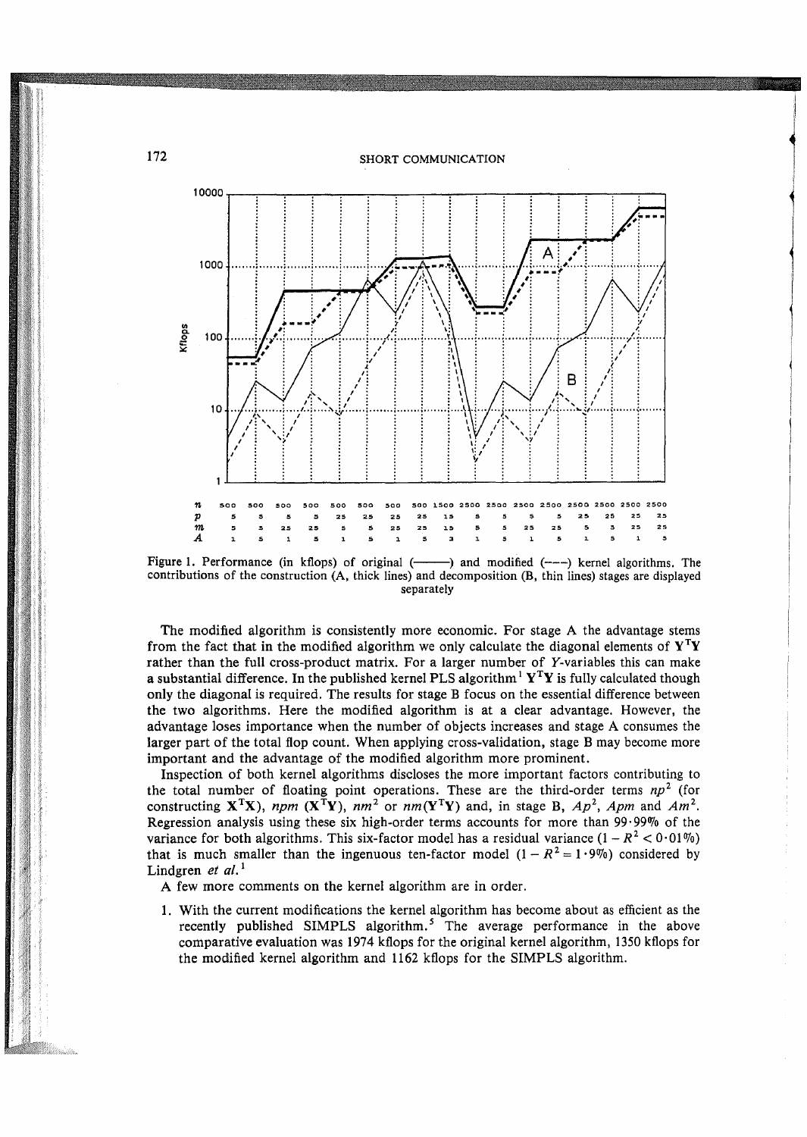i<br>I

~ l



Figure 1. Performance (in kflops) of original  $(\rightarrow \rightarrow)$  and modified  $(--)$  kernel algorithms. The contributions of the construction (A, thick lines) and decomposition (B, thin lines) stages are displayed separately

The modified algorithm is consistently more economic. For stage A the advantage stems from the fact that in the modified algorithm we only calculate the diagonal elements of  $Y^TY$ rather than the full cross-product matrix. For a larger number of Y-variables this can make a substantial difference. In the published kernel PLS algorithm<sup>1</sup>  $Y^TY$  is fully calculated though only the diagonal is required. The results for stage B focus on the essential difference between the two algorithms. Here the modified algorithm is at a clear advantage. However, the advantage loses importance when the number of objects increases and stage A consumes the larger part of the total flop count. When applying cross-validation, stage B may become more important and the advantage of the modified algorithm more prominent.

Inspection of both kernel algorithms discloses the more important factors contributing to the total number of floating point operations. These are the third-order terms  $np^2$  (for constructing  $X^TX$ ), *npm*  $(X^TY)$ ,  $nm^2$  or  $nm(Y^TY)$  and, in stage B,  $Ap^2$ , Apm and Am<sup>2</sup>. Regression analysis using these six high-order terms accounts for more than  $99 \cdot 99\%$  of the variance for both algorithms. This six-factor model has a residual variance  $(1 - R^2 < 0.01\%)$ that is much smaller than the ingenuous ten-factor model  $(1 - R^2 = 1.9\%)$  considered by Lindgren *et al.*<sup>1</sup>

A few more comments on the kernel algorithm are in order.

1. With the current modifications the kernel algorithm has become about as efficient as the recently published SIMPLS algorithm.<sup>5</sup> The average performance in the above comparative evaluation was 1974 kflops for the original kernel algorithm, 1350 kflops for the modified kernel algorithm and 1162 kflops for the SIMPLS algorithm.

172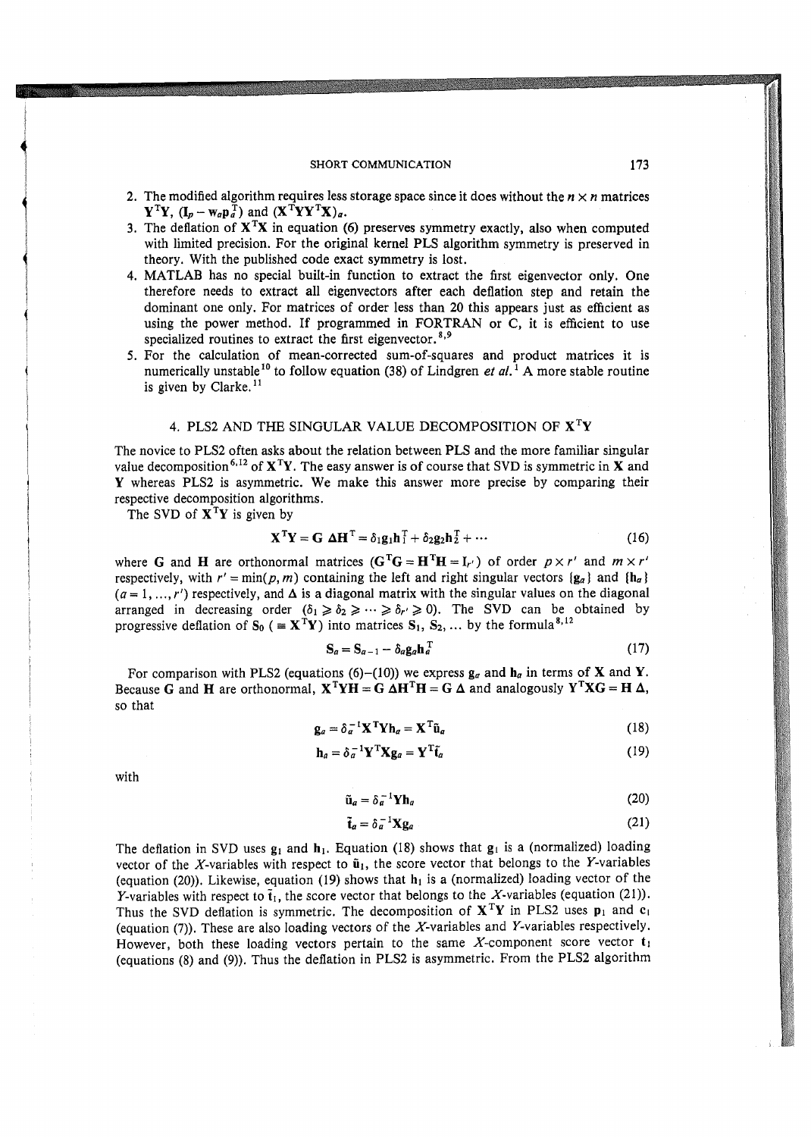- 2. The modified algorithm requires less storage space since it does without the  $n \times n$  matrices  $\mathbf{Y}^{\mathrm{T}}\mathbf{Y}$ ,  $(\mathbf{I}_p - \mathbf{w}_a \mathbf{p}_a^{\mathrm{T}})$  and  $(\mathbf{X}^{\mathrm{T}}\mathbf{Y}\mathbf{Y}^{\mathrm{T}}\mathbf{X})_a$ .
- 3. The deflation of  $X<sup>T</sup>X$  in equation (6) preserves symmetry exactly, also when computed with limited precision. For the original kernel PLS algorithm symmetry is preserved in theory. With the published code exact symmetry is lost.
- 4. MATLAB has no special built-in function to extract the first eigenvector only. One therefore needs to extract all eigenvectors after each deflation step and retain the dominant one only. For matrices of order less than 20 this appears just as efficient as using the power method. If programmed in FORTRAN or C, it is efficient to use specialized routines to extract the first eigenvector.<sup>8,9</sup>
- 5. For the calculation of mean-corrected sum-of-squares and product matrices it is numerically unstable<sup>10</sup> to follow equation (38) of Lindgren *et al.*<sup>1</sup> A more stable routine is given by Clarke.<sup>11</sup>

# 4. PLS2 AND THE SINGULAR VALUE DECOMPOSITION OF  $X<sup>T</sup>Y$

The novice to PLS2 often asks about the relation between PLS and the more familiar singular value decomposition<sup>6,12</sup> of  $X^TY$ . The easy answer is of course that SVD is symmetric in X and Y whereas PLS2 is asymmetric. We make this answer more precise by comparing their respective decomposition algorithms.

The SVD of  $X^TY$  is given by

$$
\mathbf{X}^{\mathrm{T}}\mathbf{Y} = \mathbf{G} \ \boldsymbol{\Delta}\mathbf{H}^{\mathrm{T}} = \delta_1 \mathbf{g}_1 \mathbf{h}_1^{\mathrm{T}} + \delta_2 \mathbf{g}_2 \mathbf{h}_2^{\mathrm{T}} + \cdots \tag{16}
$$

where G and H are orthonormal matrices  $(G^T G = H^T H = I_{r'})$  of order  $p \times r'$  and  $m \times r'$ respectively, with  $r' = \min(p, m)$  containing the left and right singular vectors  $(g_a)$  and  $(h_a)$  $(a = 1, ..., r')$  respectively, and  $\Delta$  is a diagonal matrix with the singular values on the diagonal arranged in decreasing order  $(\delta_1 \geq \delta_2 \geq \cdots \geq \delta_{r'} \geq 0)$ . The SVD can be obtained by progressive deflation of S<sub>0</sub> ( $\equiv X^{T}Y$ ) into matrices S<sub>1</sub>, S<sub>2</sub>, ... by the formula<sup>8,12</sup>

$$
\mathbf{S}_a = \mathbf{S}_{a-1} - \delta_a \mathbf{g}_a \mathbf{h}_a^{\mathrm{T}} \tag{17}
$$

For comparison with PLS2 (equations (6)-(10)) we express  $g_a$  and  $h_a$  in terms of **X** and **Y**. Because G and H are orthonormal,  $X^T Y H = G \Delta H^T H = G \Delta$  and analogously  $Y^T X G = H \Delta$ , so that

$$
\mathbf{g}_a = \delta_a^{-1} \mathbf{X}^{\mathrm{T}} \mathbf{Y} \mathbf{h}_a = \mathbf{X}^{\mathrm{T}} \tilde{\mathbf{u}}_a \tag{18}
$$

$$
\mathbf{h}_a = \delta_a^{-1} \mathbf{Y}^{\mathrm{T}} \mathbf{X} \mathbf{g}_a = \mathbf{Y}^{\mathrm{T}} \tilde{\mathbf{t}}_a \tag{19}
$$

with

 $\ddot{\phantom{0}}$ j i<br>International<br>International

1<br>1920 - Paris Harrison, Amerikaansk konstnant<br>1920 - Paris Harrison, Amerikaansk konstnant<br>1920 - Paris Harrison, Amerikaansk konstnant († 1920)

je poznatelj poznatelj<br>Svetlandar

1

$$
\tilde{\mathbf{u}}_a = \delta_a^{-1} \mathbf{Y} \mathbf{h}_a \tag{20}
$$

$$
\tilde{\mathbf{t}}_a = \delta_a^{-1} \mathbf{X} \mathbf{g}_a \tag{21}
$$

The deflation in SVD uses  $g_1$  and  $h_1$ . Equation (18) shows that  $g_1$  is a (normalized) loading vector of the X-variables with respect to  $\tilde{\mathbf{u}}_1$ , the score vector that belongs to the Y-variables (equation (20)). Likewise, equation (19) shows that  $h_1$  is a (normalized) loading vector of the Y-variables with respect to  $\tilde{t}_1$ , the score vector that belongs to the X-variables (equation (21)). Thus the SVD deflation is symmetric. The decomposition of  $X<sup>T</sup>Y$  in PLS2 uses  $p_1$  and  $c_1$ (equation (7)). These are also loading vectors of the X-variables and Y-variables respectively. However, both these loading vectors pertain to the same X-component score vector  $t_1$ (equations (8) and (9)). Thus the deflation in PLS2 is asymmetric. From the PLS2 algorithm